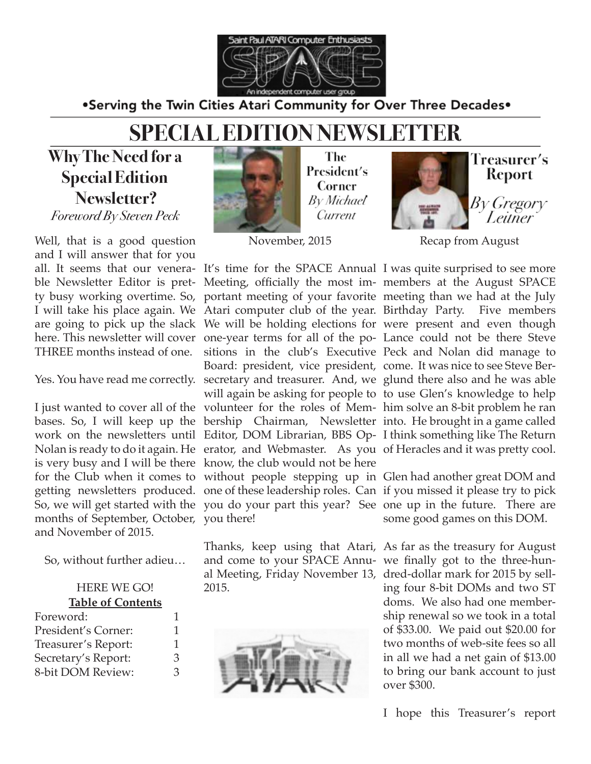

.Serving the Twin Cities Atari Community for Over Three Decades.

## **SPECIAL EDITION NEWSLETTER**

**Why The Need for a Special Edition Newsletter?** *Foreword By Steven Peck*

Well, that is a good question and I will answer that for you THREE months instead of one.

months of September, October, you there! and November of 2015.

So, without further adieu…

#### HERE WE GO! **Table of Contents**

| 1 |
|---|
| 1 |
| З |
| З |
|   |



The President's Corner By Michael Current

November, 2015

Nolan is ready to do it again. He erator, and Webmaster. As you of Heracles and it was pretty cool. is very busy and I will be there know, the club would not be here Board: president, vice president, come. It was nice to see Steve Ber-

2015.





**Treasurer′s** Report

By Gregory Leitner

Recap from August

all. It seems that our venera-It's time for the SPACE Annual I was quite surprised to see more ble Newsletter Editor is pret-Meeting, officially the most im-members at the August SPACE ty busy working overtime. So, portant meeting of your favorite meeting than we had at the July I will take his place again. We Atari computer club of the year. Birthday Party. Five members are going to pick up the slack We will be holding elections for were present and even though here. This newsletter will cover one-year terms for all of the po-Lance could not be there Steve Yes. You have read me correctly. secretary and treasurer. And, we glund there also and he was able I just wanted to cover all of the volunteer for the roles of Mem- him solve an 8-bit problem he ran bases. So, I will keep up the bership Chairman, Newsletter into. He brought in a game called work on the newsletters until Editor, DOM Librarian, BBS Op-I think something like The Return sitions in the club's Executive Peck and Nolan did manage to will again be asking for people to to use Glen's knowledge to help

for the Club when it comes to without people stepping up in Glen had another great DOM and getting newsletters produced. one of these leadership roles. Can if you missed it please try to pick So, we will get started with the you do your part this year? See one up in the future. There are some good games on this DOM.

> Thanks, keep using that Atari, As far as the treasury for August and come to your SPACE Annu-we finally got to the three-hunal Meeting, Friday November 13, dred-dollar mark for 2015 by selling four 8-bit DOMs and two ST doms. We also had one membership renewal so we took in a total of \$33.00. We paid out \$20.00 for two months of web-site fees so all in all we had a net gain of \$13.00 to bring our bank account to just over \$300.

> > I hope this Treasurer's report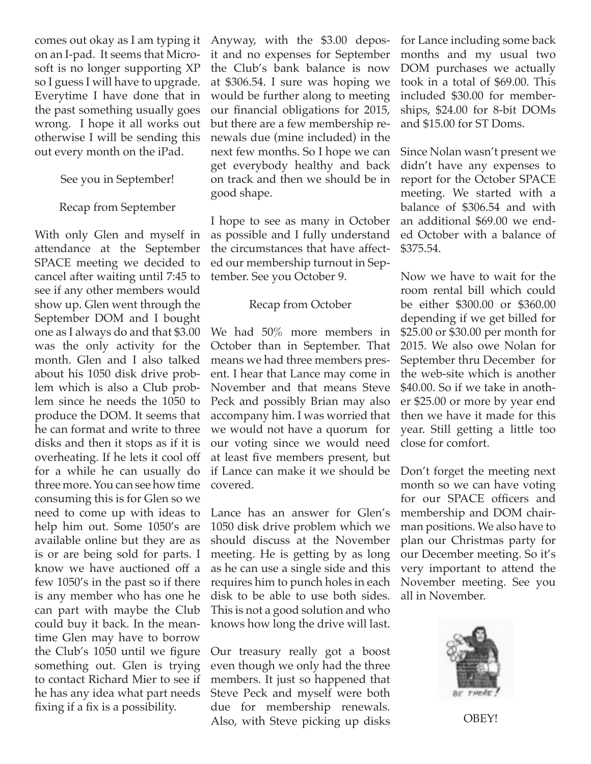comes out okay as I am typing it on an I-pad. It seems that Microsoft is no longer supporting XP so I guess I will have to upgrade. Everytime I have done that in the past something usually goes wrong. I hope it all works out otherwise I will be sending this out every month on the iPad.

### See you in September!

#### Recap from September

With only Glen and myself in attendance at the September SPACE meeting we decided to cancel after waiting until 7:45 to see if any other members would show up. Glen went through the September DOM and I bought one as I always do and that \$3.00 was the only activity for the month. Glen and I also talked about his 1050 disk drive problem which is also a Club problem since he needs the 1050 to produce the DOM. It seems that he can format and write to three disks and then it stops as if it is overheating. If he lets it cool off for a while he can usually do three more. You can see how time consuming this is for Glen so we need to come up with ideas to help him out. Some 1050's are available online but they are as is or are being sold for parts. I know we have auctioned off a few 1050's in the past so if there is any member who has one he can part with maybe the Club could buy it back. In the meantime Glen may have to borrow the Club's 1050 until we figure something out. Glen is trying to contact Richard Mier to see if he has any idea what part needs fixing if a fix is a possibility.

Anyway, with the \$3.00 deposit and no expenses for September the Club's bank balance is now at \$306.54. I sure was hoping we would be further along to meeting our financial obligations for 2015, but there are a few membership renewals due (mine included) in the next few months. So I hope we can get everybody healthy and back on track and then we should be in good shape.

I hope to see as many in October as possible and I fully understand the circumstances that have affected our membership turnout in September. See you October 9.

#### Recap from October

We had 50% more members in October than in September. That means we had three members present. I hear that Lance may come in November and that means Steve Peck and possibly Brian may also accompany him. I was worried that we would not have a quorum for our voting since we would need at least five members present, but if Lance can make it we should be covered.

Lance has an answer for Glen's 1050 disk drive problem which we should discuss at the November meeting. He is getting by as long as he can use a single side and this requires him to punch holes in each disk to be able to use both sides. This is not a good solution and who knows how long the drive will last.

Our treasury really got a boost even though we only had the three members. It just so happened that Steve Peck and myself were both due for membership renewals. Also, with Steve picking up disks

for Lance including some back months and my usual two DOM purchases we actually took in a total of \$69.00. This included \$30.00 for memberships, \$24.00 for 8-bit DOMs and \$15.00 for ST Doms.

Since Nolan wasn't present we didn't have any expenses to report for the October SPACE meeting. We started with a balance of \$306.54 and with an additional \$69.00 we ended October with a balance of \$375.54.

Now we have to wait for the room rental bill which could be either \$300.00 or \$360.00 depending if we get billed for \$25.00 or \$30.00 per month for 2015. We also owe Nolan for September thru December for the web-site which is another \$40.00. So if we take in another \$25.00 or more by year end then we have it made for this year. Still getting a little too close for comfort.

Don't forget the meeting next month so we can have voting for our SPACE officers and membership and DOM chairman positions. We also have to plan our Christmas party for our December meeting. So it's very important to attend the November meeting. See you all in November.



OBEY!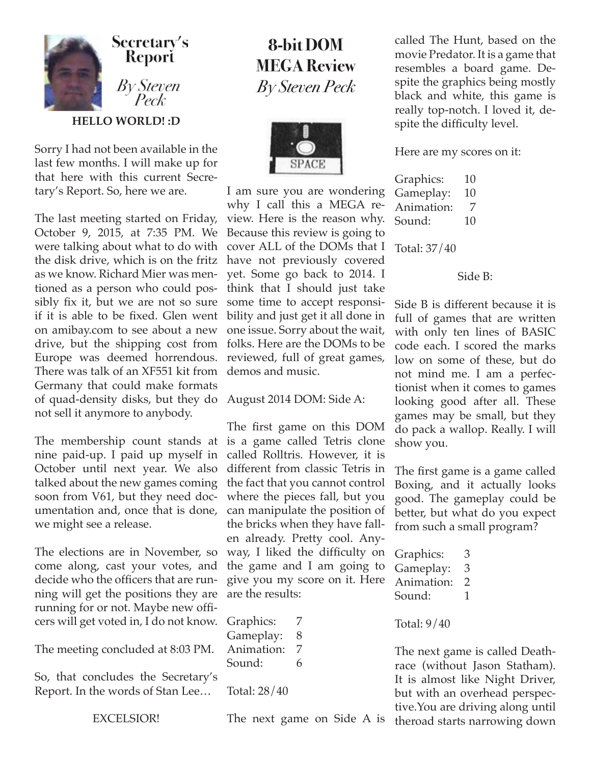

Sorry I had not been available in the last few months. I will make up for that here with this current Secretary's Report. So, here we are.

The last meeting started on Friday, October 9, 2015, at 7:35 PM. We were talking about what to do with the disk drive, which is on the fritz as we know. Richard Mier was mentioned as a person who could possibly fix it, but we are not so sure if it is able to be fixed. Glen went on amibay.com to see about a new drive, but the shipping cost from Europe was deemed horrendous. There was talk of an XF551 kit from Germany that could make formats of quad-density disks, but they do August 2014 DOM: Side A: not sell it anymore to anybody.

The membership count stands at nine paid-up. I paid up myself in October until next year. We also talked about the new games coming soon from V61, but they need documentation and, once that is done, we might see a release.

The elections are in November, so come along, cast your votes, and decide who the officers that are running will get the positions they are running for or not. Maybe new officers will get voted in, I do not know.

The meeting concluded at 8:03 PM.

So, that concludes the Secretary's Report. In the words of Stan Lee…

EXCELSIOR!

## **8-bit DOM MEGA Review** *By Steven Peck*



I am sure you are wondering why I call this a MEGA review. Here is the reason why. Because this review is going to cover ALL of the DOMs that I have not previously covered yet. Some go back to 2014. I think that I should just take some time to accept responsibility and just get it all done in one issue. Sorry about the wait, folks. Here are the DOMs to be reviewed, full of great games, demos and music.

The first game on this DOM is a game called Tetris clone called Rolltris. However, it is different from classic Tetris in the fact that you cannot control where the pieces fall, but you can manipulate the position of the bricks when they have fallen already. Pretty cool. Anyway, I liked the difficulty on the game and I am going to give you my score on it. Here are the results:

Graphics: 7 Gameplay: 8 Animation: 7 Sound: 6

Total: 28/40

called The Hunt, based on the movie Predator. It is a game that resembles a board game. Despite the graphics being mostly black and white, this game is really top-notch. I loved it, despite the difficulty level.

Here are my scores on it:

| Graphics:  | 10 |
|------------|----|
| Gameplay:  | 10 |
| Animation: | 7  |
| Sound:     | 10 |

Total: 37/40

Side B:

Side B is different because it is full of games that are written with only ten lines of BASIC code each. I scored the marks low on some of these, but do not mind me. I am a perfectionist when it comes to games looking good after all. These games may be small, but they do pack a wallop. Really. I will show you.

The first game is a game called Boxing, and it actually looks good. The gameplay could be better, but what do you expect from such a small program?

| Graphics:  | 3             |
|------------|---------------|
| Gameplay:  | 3             |
| Animation: | $\mathcal{L}$ |
| Sound:     |               |

Total: 9/40

The next game is called Deathrace (without Jason Statham). It is almost like Night Driver, but with an overhead perspective.You are driving along until theroad starts narrowing down

The next game on Side A is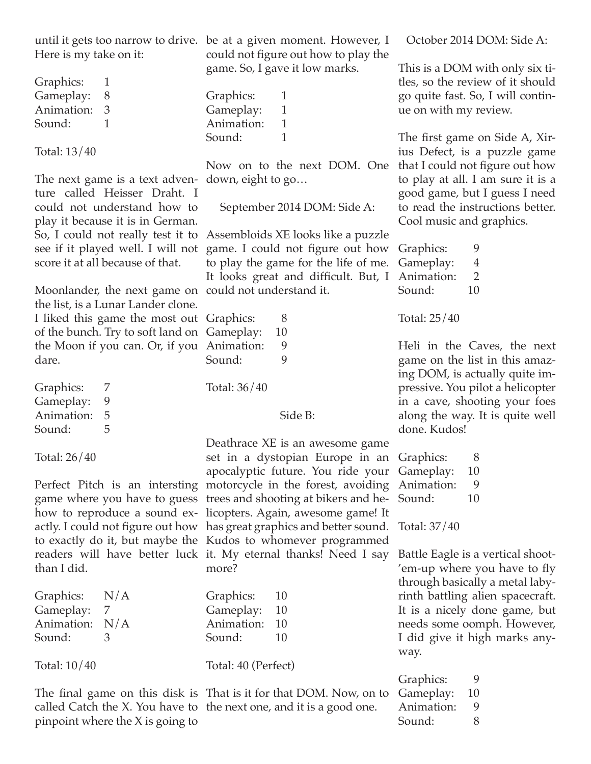Here is my take on it:

Graphics: 1 Gameplay: 8 Animation: 3 Sound: 1

Total: 13/40

The next game is a text adventure called Heisser Draht. I could not understand how to play it because it is in German. see if it played well. I will not score it at all because of that.

Moonlander, the next game on could not understand it. the list, is a Lunar Lander clone. I liked this game the most out of the bunch. Try to soft land on the Moon if you can. Or, if you dare.

Graphics: 7 Gameplay: 9 Animation: 5 Sound: 5

Total: 26/40

than I did.

Graphics: N/A Gameplay: 7 Animation: N/A Sound: 3

Total: 10/40

pinpoint where the X is going to

until it gets too narrow to drive. be at a given moment. However, I could not figure out how to play the game. So, I gave it low marks.

> Graphics: 1 Gameplay: 1 Animation: 1 Sound: 1

Now on to the next DOM. One down, eight to go…

September 2014 DOM: Side A:

So, I could not really test it to Assembloids XE looks like a puzzle game. I could not figure out how to play the game for the life of me. It looks great and difficult. But, I

| Graphics:    | 8       |
|--------------|---------|
| Gameplay:    | 10      |
| Animation:   | 9       |
| Sound:       | 9       |
| Total: 36/40 | Side B: |

Perfect Pitch is an intersting motorcycle in the forest, avoiding game where you have to guess trees and shooting at bikers and hehow to reproduce a sound ex-licopters. Again, awesome game! It actly. I could not figure out how has great graphics and better sound. Total: 37/40 to exactly do it, but maybe the Kudos to whomever programmed readers will have better luck it. My eternal thanks! Need I say Deathrace XE is an awesome game set in a dystopian Europe in an apocalyptic future. You ride your more?

| Graphics:  | 10 |
|------------|----|
| Gameplay:  | 10 |
| Animation: | 10 |
| Sound:     | 10 |

Total: 40 (Perfect)

The final game on this disk is That is it for that DOM. Now, on to called Catch the X. You have to the next one, and it is a good one.

October 2014 DOM: Side A:

This is a DOM with only six titles, so the review of it should go quite fast. So, I will continue on with my review.

The first game on Side A, Xirius Defect, is a puzzle game that I could not figure out how to play at all. I am sure it is a good game, but I guess I need to read the instructions better. Cool music and graphics.

Graphics: 9 Gameplay: 4 Animation: 2 Sound: 10

Total: 25/40

Heli in the Caves, the next game on the list in this amazing DOM, is actually quite impressive. You pilot a helicopter in a cave, shooting your foes along the way. It is quite well done. Kudos!

| Graphics:  | 8  |
|------------|----|
| Gameplay:  | 10 |
| Animation: | g  |
| Sound:     | 10 |
|            |    |

Battle Eagle is a vertical shoot- 'em-up where you have to fly through basically a metal labyrinth battling alien spacecraft. It is a nicely done game, but needs some oomph. However, I did give it high marks anyway.

| Graphics:  | 9  |
|------------|----|
| Gameplay:  | 10 |
| Animation: | g  |
| Sound:     | 8  |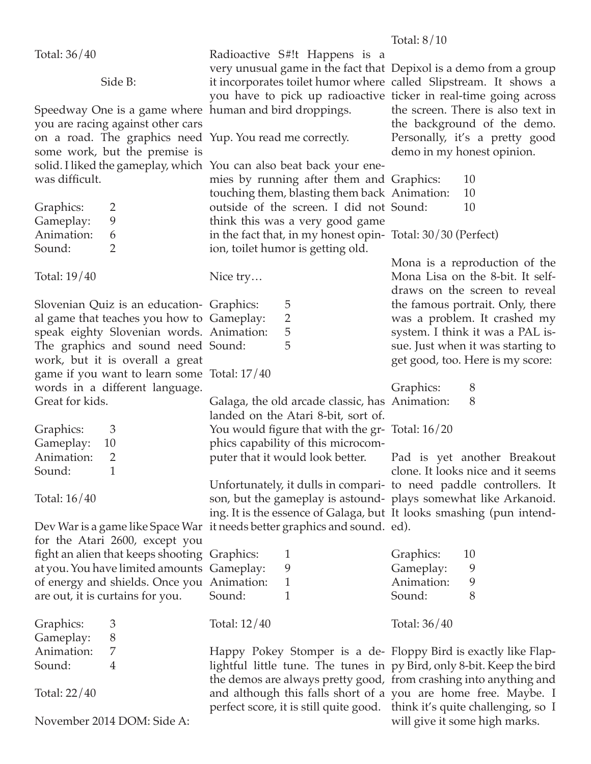Total: 36/40

Side B:

Speedway One is a game where human and bird droppings. you are racing against other cars on a road. The graphics need Yup. You read me correctly. some work, but the premise is was difficult.

| Graphics:  | ン             |
|------------|---------------|
| Gameplay:  | g             |
| Animation: | 6             |
| Sound:     | $\mathcal{L}$ |

Total: 19/40

Slovenian Quiz is an education-Graphics: 5 al game that teaches you how to Gameplay: 2 speak eighty Slovenian words. Animation: 5 The graphics and sound need Sound: 5 work, but it is overall a great game if you want to learn some Total: 17/40 words in a different language. Great for kids.

Graphics: 3 Gameplay: 10 Animation: 2 Sound: 1

Total: 16/40

Dev War is a game like Space War it needs better graphics and sound. ed). for the Atari 2600, except you fight an alien that keeps shooting at you. You have limited amoun of energy and shields. Once yo are out, it is curtains for you.

| Graphics:  | З |
|------------|---|
| Gameplay:  | 8 |
| Animation: | 7 |
| Sound:     | 4 |

Total: 22/40

November 2014 DOM: Side A:

Radioactive S#!t Happens is a very unusual game in the fact that Depixol is a demo from a group it incorporates toilet humor where called Slipstream. It shows a you have to pick up radioactive ticker in real-time going across

solid. I liked the gameplay, which You can also beat back your enemies by running after them and touching them, blasting them back outside of the screen. I did not think this was a very good game in the fact that, in my honest opin-Total: 30/30 (Perfect) ion, toilet humor is getting old.

Nice try…

Galaga, the old arcade classic, has Animation: 8 landed on the Atari 8-bit, sort of. You would figure that with the gr-Total: 16/20 phics capability of this microcomputer that it would look better.

Unfortunately, it dulls in compari-to need paddle controllers. It son, but the gameplay is astound-plays somewhat like Arkanoid. ing. It is the essence of Galaga, but It looks smashing (pun intend-

| ng Graphics:                                   |   | Graphics:                                            | 10 |
|------------------------------------------------|---|------------------------------------------------------|----|
| ts Gameplay:                                   | 9 | Gameplay:                                            | 9  |
| ou Animation:                                  | 1 | Animation:                                           | 9  |
| Sound:                                         |   | Sound:                                               | 8  |
| Total: 12/40                                   |   | Total: 36/40                                         |    |
| Happy Pokey Stomper is a de- Floppy Bird is ex |   | lightful little tune. The tunes in py Bird, only 8-b |    |

lightful little tune. The tunes in the demos are always pretty good, from crashing into anything and and although this falls short of a you are home free. Maybe. I perfect score, it is still quite good. think it's quite challenging, so I

the screen. There is also text in the background of the demo. Personally, it's a pretty good demo in my honest opinion.

| Graphics:  | 10 |
|------------|----|
| Animation: | 10 |
| Sound:     | 10 |

Mona is a reproduction of the Mona Lisa on the 8-bit. It selfdraws on the screen to reveal the famous portrait. Only, there was a problem. It crashed my system. I think it was a PAL issue. Just when it was starting to get good, too. Here is my score:

Graphics: 8

Pad is yet another Breakout clone. It looks nice and it seems

exactly like Flap--bit. Keep the bird will give it some high marks.

Total: 8/10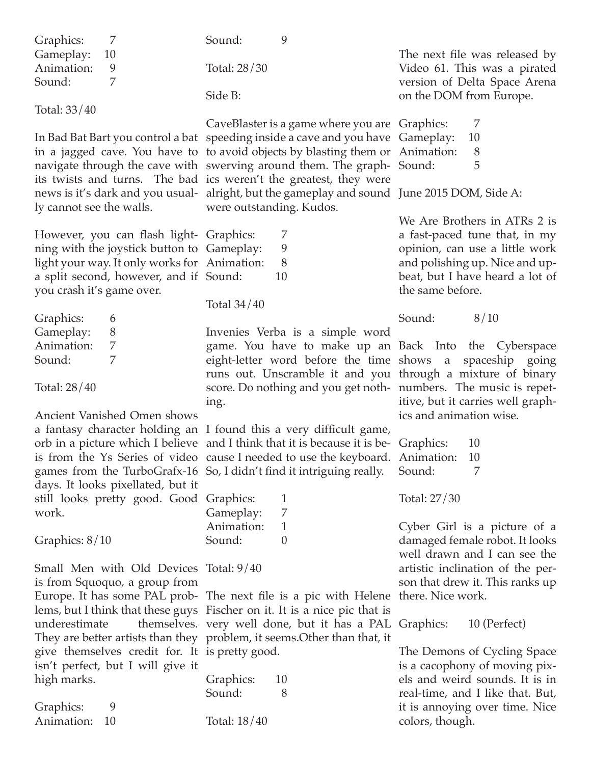| Graphics:<br>7                                                                             | 9<br>Sound:                                                                                                                                               |                                                                  |
|--------------------------------------------------------------------------------------------|-----------------------------------------------------------------------------------------------------------------------------------------------------------|------------------------------------------------------------------|
| Gameplay:<br>10<br>Animation:<br>9                                                         | Total: 28/30                                                                                                                                              | The next file was released by<br>Video 61. This was a pirated    |
| Sound:<br>7                                                                                | Side B:                                                                                                                                                   | version of Delta Space Arena                                     |
| Total: 33/40                                                                               |                                                                                                                                                           | on the DOM from Europe.                                          |
|                                                                                            | CaveBlaster is a game where you are Graphics:                                                                                                             | 7                                                                |
|                                                                                            | In Bad Bat Bart you control a bat speeding inside a cave and you have Gameplay:                                                                           | 10                                                               |
|                                                                                            | in a jagged cave. You have to to avoid objects by blasting them or Animation:<br>navigate through the cave with swerving around them. The graph-Sound:    | 8<br>5                                                           |
|                                                                                            | its twists and turns. The bad ics weren't the greatest, they were                                                                                         |                                                                  |
|                                                                                            | news is it's dark and you usual- alright, but the gameplay and sound June 2015 DOM, Side A:                                                               |                                                                  |
| ly cannot see the walls.                                                                   | were outstanding. Kudos.                                                                                                                                  |                                                                  |
|                                                                                            |                                                                                                                                                           | We Are Brothers in ATRs 2 is                                     |
| However, you can flash light- Graphics:                                                    | 7<br>9                                                                                                                                                    | a fast-paced tune that, in my                                    |
| ning with the joystick button to Gameplay:<br>light your way. It only works for Animation: | 8                                                                                                                                                         | opinion, can use a little work<br>and polishing up. Nice and up- |
| a split second, however, and if Sound:                                                     | 10                                                                                                                                                        | beat, but I have heard a lot of                                  |
| you crash it's game over.                                                                  |                                                                                                                                                           | the same before.                                                 |
|                                                                                            | Total $34/40$                                                                                                                                             |                                                                  |
| Graphics:<br>6                                                                             |                                                                                                                                                           | Sound:<br>8/10                                                   |
| Gameplay:<br>8<br>Animation:<br>7                                                          | Invenies Verba is a simple word<br>game. You have to make up an Back Into the Cyberspace                                                                  |                                                                  |
| 7<br>Sound:                                                                                | eight-letter word before the time shows a spaceship going                                                                                                 |                                                                  |
|                                                                                            | runs out. Unscramble it and you through a mixture of binary                                                                                               |                                                                  |
| Total: 28/40                                                                               | score. Do nothing and you get noth- numbers. The music is repet-                                                                                          |                                                                  |
|                                                                                            | ing.                                                                                                                                                      | itive, but it carries well graph-                                |
| Ancient Vanished Omen shows                                                                |                                                                                                                                                           | ics and animation wise.                                          |
|                                                                                            | a fantasy character holding an I found this a very difficult game,<br>orb in a picture which I believe and I think that it is because it is be- Graphics: | 10                                                               |
|                                                                                            | is from the Ys Series of video cause I needed to use the keyboard. Animation:                                                                             | 10                                                               |
|                                                                                            | games from the TurboGrafx-16 So, I didn't find it intriguing really.                                                                                      | 7<br>Sound:                                                      |
| days. It looks pixellated, but it                                                          |                                                                                                                                                           |                                                                  |
| still looks pretty good. Good Graphics:                                                    | 1                                                                                                                                                         | Total: 27/30                                                     |
| work.                                                                                      | 7<br>Gameplay:                                                                                                                                            |                                                                  |
| Graphics: $8/10$                                                                           | Animation:<br>$\mathbf{1}$<br>Sound:<br>$\theta$                                                                                                          | Cyber Girl is a picture of a<br>damaged female robot. It looks   |
|                                                                                            |                                                                                                                                                           | well drawn and I can see the                                     |
| Small Men with Old Devices Total: 9/40                                                     |                                                                                                                                                           | artistic inclination of the per-                                 |
| is from Squoquo, a group from                                                              |                                                                                                                                                           | son that drew it. This ranks up                                  |
|                                                                                            | Europe. It has some PAL prob- The next file is a pic with Helene                                                                                          | there. Nice work.                                                |
|                                                                                            | lems, but I think that these guys Fischer on it. It is a nice pic that is                                                                                 |                                                                  |
| underestimate                                                                              | themselves. very well done, but it has a PAL Graphics:<br>They are better artists than they problem, it seems. Other than that, it                        | 10 (Perfect)                                                     |
| give themselves credit for. It is pretty good.                                             |                                                                                                                                                           | The Demons of Cycling Space                                      |
| isn't perfect, but I will give it                                                          |                                                                                                                                                           | is a cacophony of moving pix-                                    |
| high marks.                                                                                | Graphics:<br>10                                                                                                                                           | els and weird sounds. It is in                                   |
|                                                                                            | Sound:<br>8                                                                                                                                               | real-time, and I like that. But,                                 |
| Graphics:<br>9<br>Animation:<br>10                                                         | Total: 18/40                                                                                                                                              | it is annoying over time. Nice                                   |
|                                                                                            |                                                                                                                                                           | colors, though.                                                  |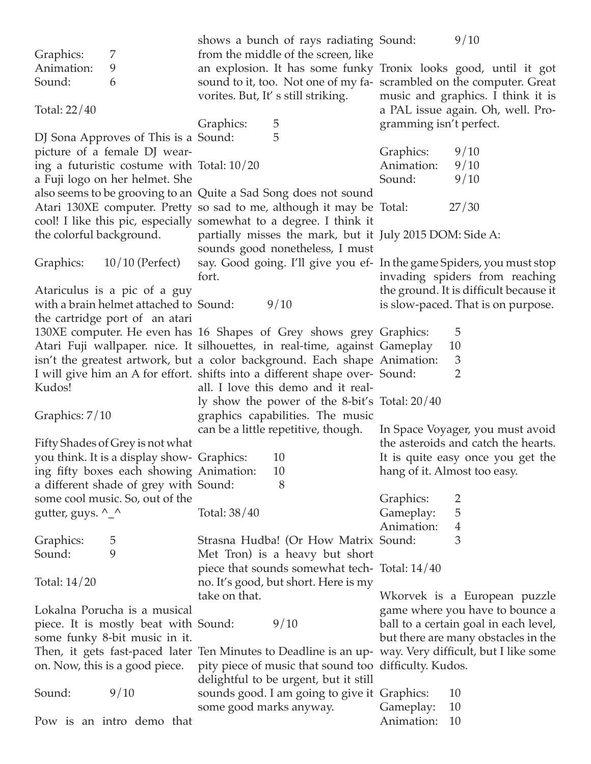|                                       |                                            |                         | shows a bunch of rays radiating Sound:                                      |                              | 9/10                                                                                                  |
|---------------------------------------|--------------------------------------------|-------------------------|-----------------------------------------------------------------------------|------------------------------|-------------------------------------------------------------------------------------------------------|
| Graphics:                             | 7                                          |                         | from the middle of the screen, like                                         |                              |                                                                                                       |
| Animation:                            | 9                                          |                         |                                                                             |                              | an explosion. It has some funky Tronix looks good, until it got                                       |
| Sound:                                | 6                                          |                         |                                                                             |                              | sound to it, too. Not one of my fa- scrambled on the computer. Great                                  |
|                                       |                                            |                         | vorites. But, It's still striking.                                          |                              | music and graphics. I think it is                                                                     |
| Total: 22/40                          |                                            |                         |                                                                             |                              | a PAL issue again. Oh, well. Pro-                                                                     |
|                                       |                                            | Graphics:               | 5                                                                           | gramming isn't perfect.      |                                                                                                       |
|                                       | DJ Sona Approves of This is a Sound:       |                         | 5                                                                           |                              |                                                                                                       |
|                                       | picture of a female DJ wear-               |                         |                                                                             | Graphics:                    | 9/10                                                                                                  |
|                                       | ing a futuristic costume with Total: 10/20 |                         |                                                                             | Animation:                   | 9/10                                                                                                  |
|                                       |                                            |                         |                                                                             | Sound:                       | 9/10                                                                                                  |
|                                       | a Fuji logo on her helmet. She             |                         |                                                                             |                              |                                                                                                       |
|                                       |                                            |                         | also seems to be grooving to an Quite a Sad Song does not sound             |                              |                                                                                                       |
|                                       |                                            |                         | Atari 130XE computer. Pretty so sad to me, although it may be Total:        |                              | 27/30                                                                                                 |
|                                       |                                            |                         | cool! I like this pic, especially somewhat to a degree. I think it          |                              |                                                                                                       |
| the colorful background.              |                                            |                         | partially misses the mark, but it July 2015 DOM: Side A:                    |                              |                                                                                                       |
|                                       |                                            |                         | sounds good nonetheless, I must                                             |                              |                                                                                                       |
| Graphics:                             | $10/10$ (Perfect)                          |                         | say. Good going. I'll give you ef- In the game Spiders, you must stop       |                              |                                                                                                       |
|                                       |                                            | fort.                   |                                                                             |                              | invading spiders from reaching                                                                        |
|                                       | Atariculus is a pic of a guy               |                         |                                                                             |                              | the ground. It is difficult because it                                                                |
|                                       | with a brain helmet attached to Sound:     |                         | 9/10                                                                        |                              | is slow-paced. That is on purpose.                                                                    |
|                                       | the cartridge port of an atari             |                         |                                                                             |                              |                                                                                                       |
|                                       |                                            |                         | 130XE computer. He even has 16 Shapes of Grey shows grey Graphics:          |                              | 5                                                                                                     |
|                                       |                                            |                         | Atari Fuji wallpaper. nice. It silhouettes, in real-time, against Gameplay  |                              | 10                                                                                                    |
|                                       |                                            |                         | isn't the greatest artwork, but a color background. Each shape Animation:   |                              | $\mathfrak{Z}$                                                                                        |
|                                       |                                            |                         | I will give him an A for effort. shifts into a different shape over- Sound: |                              | $\overline{2}$                                                                                        |
| Kudos!                                |                                            |                         | all. I love this demo and it real-                                          |                              |                                                                                                       |
|                                       |                                            |                         | ly show the power of the 8-bit's Total: 20/40                               |                              |                                                                                                       |
| Graphics: 7/10                        |                                            |                         | graphics capabilities. The music                                            |                              |                                                                                                       |
|                                       |                                            |                         | can be a little repetitive, though.                                         |                              | In Space Voyager, you must avoid                                                                      |
|                                       | Fifty Shades of Grey is not what           |                         |                                                                             |                              | the asteroids and catch the hearts.                                                                   |
|                                       | you think. It is a display show- Graphics: |                         | 10                                                                          |                              | It is quite easy once you get the                                                                     |
|                                       |                                            |                         | 10                                                                          | hang of it. Almost too easy. |                                                                                                       |
|                                       | ing fifty boxes each showing Animation:    |                         | 8                                                                           |                              |                                                                                                       |
|                                       | a different shade of grey with Sound:      |                         |                                                                             |                              |                                                                                                       |
|                                       | some cool music. So, out of the            |                         |                                                                             | Graphics:                    | 2                                                                                                     |
| gutter, guys. $^{\wedge}$ $^{\wedge}$ |                                            | Total: 38/40            |                                                                             | Gameplay:                    | 5                                                                                                     |
|                                       |                                            |                         |                                                                             | Animation:                   | $\overline{4}$                                                                                        |
| Graphics:                             | 5                                          |                         | Strasna Hudba! (Or How Matrix Sound:                                        |                              | 3                                                                                                     |
| Sound:                                | 9                                          |                         | Met Tron) is a heavy but short                                              |                              |                                                                                                       |
|                                       |                                            |                         | piece that sounds somewhat tech-Total: 14/40                                |                              |                                                                                                       |
| Total: $14/20$                        |                                            |                         | no. It's good, but short. Here is my                                        |                              |                                                                                                       |
|                                       |                                            | take on that.           |                                                                             |                              | Wkorvek is a European puzzle                                                                          |
|                                       | Lokalna Porucha is a musical               |                         |                                                                             |                              | game where you have to bounce a                                                                       |
|                                       | piece. It is mostly beat with Sound:       |                         | 9/10                                                                        |                              | ball to a certain goal in each level,                                                                 |
|                                       | some funky 8-bit music in it.              |                         |                                                                             |                              | but there are many obstacles in the                                                                   |
|                                       |                                            |                         |                                                                             |                              | Then, it gets fast-paced later Ten Minutes to Deadline is an up- way. Very difficult, but I like some |
|                                       | on. Now, this is a good piece.             |                         | pity piece of music that sound too difficulty. Kudos.                       |                              |                                                                                                       |
|                                       |                                            |                         | delightful to be urgent, but it still                                       |                              |                                                                                                       |
| Sound:                                | 9/10                                       |                         | sounds good. I am going to give it Graphics:                                |                              | 10                                                                                                    |
|                                       |                                            | some good marks anyway. |                                                                             | Gameplay:                    | 10                                                                                                    |
|                                       | Pow is an intro demo that                  |                         |                                                                             | Animation:                   | 10                                                                                                    |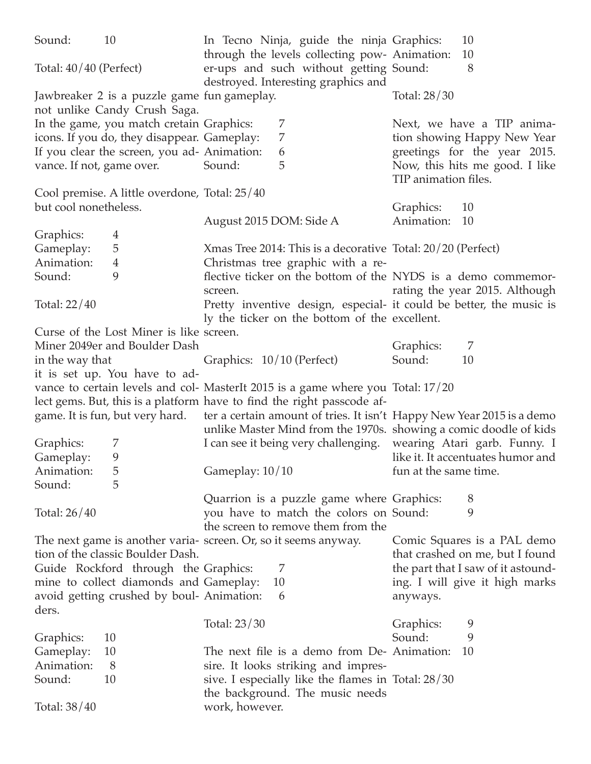| Sound:                    | 10                                            | In Tecno Ninja, guide the ninja Graphics:                                                             | 10                                 |
|---------------------------|-----------------------------------------------|-------------------------------------------------------------------------------------------------------|------------------------------------|
|                           |                                               | through the levels collecting pow- Animation:                                                         | 10                                 |
| Total: $40/40$ (Perfect)  |                                               | er-ups and such without getting Sound:                                                                | 8                                  |
|                           |                                               | destroyed. Interesting graphics and                                                                   |                                    |
|                           | Jawbreaker 2 is a puzzle game fun gameplay.   |                                                                                                       | Total: 28/30                       |
|                           | not unlike Candy Crush Saga.                  |                                                                                                       |                                    |
|                           | In the game, you match cretain Graphics:      | 7                                                                                                     | Next, we have a TIP anima-         |
|                           | icons. If you do, they disappear. Gameplay:   | 7                                                                                                     | tion showing Happy New Year        |
|                           | If you clear the screen, you ad- Animation:   | 6                                                                                                     | greetings for the year 2015.       |
| vance. If not, game over. |                                               | 5<br>Sound:                                                                                           | Now, this hits me good. I like     |
|                           |                                               |                                                                                                       | TIP animation files.               |
|                           | Cool premise. A little overdone, Total: 25/40 |                                                                                                       |                                    |
| but cool nonetheless.     |                                               |                                                                                                       | Graphics:<br>10                    |
|                           |                                               | August 2015 DOM: Side A                                                                               | Animation:<br>10                   |
| Graphics:                 | 4                                             |                                                                                                       |                                    |
| Gameplay:                 | 5                                             | Xmas Tree 2014: This is a decorative Total: 20/20 (Perfect)                                           |                                    |
| Animation:                | $\overline{4}$                                | Christmas tree graphic with a re-                                                                     |                                    |
| Sound:                    | 9                                             | flective ticker on the bottom of the NYDS is a demo commemor-                                         |                                    |
|                           |                                               | screen.                                                                                               | rating the year 2015. Although     |
| Total: 22/40              |                                               | Pretty inventive design, especial- it could be better, the music is                                   |                                    |
|                           |                                               | ly the ticker on the bottom of the excellent.                                                         |                                    |
|                           | Curse of the Lost Miner is like screen.       |                                                                                                       |                                    |
|                           | Miner 2049er and Boulder Dash                 |                                                                                                       | Graphics:<br>7                     |
| in the way that           |                                               | Graphics: 10/10 (Perfect)                                                                             | Sound:<br>10                       |
|                           | it is set up. You have to ad-                 |                                                                                                       |                                    |
|                           |                                               | vance to certain levels and col- MasterIt 2015 is a game where you Total: 17/20                       |                                    |
|                           |                                               | lect gems. But, this is a platform have to find the right passcode af-                                |                                    |
|                           |                                               | game. It is fun, but very hard. ter a certain amount of tries. It isn't Happy New Year 2015 is a demo |                                    |
|                           |                                               | unlike Master Mind from the 1970s. showing a comic doodle of kids                                     |                                    |
| Graphics:                 | 7                                             | I can see it being very challenging.                                                                  | wearing Atari garb. Funny. I       |
| Gameplay:                 | 9                                             |                                                                                                       | like it. It accentuates humor and  |
| Animation:                | 5                                             | Gameplay: 10/10                                                                                       | fun at the same time.              |
| Sound:                    | 5                                             |                                                                                                       |                                    |
|                           |                                               | Quarrion is a puzzle game where Graphics:                                                             | 8                                  |
| Total: 26/40              |                                               | you have to match the colors on Sound:                                                                | 9                                  |
|                           |                                               |                                                                                                       |                                    |
|                           |                                               | the screen to remove them from the                                                                    |                                    |
|                           |                                               |                                                                                                       |                                    |
|                           |                                               | The next game is another varia- screen. Or, so it seems anyway.                                       | Comic Squares is a PAL demo        |
|                           | tion of the classic Boulder Dash.             |                                                                                                       | that crashed on me, but I found    |
|                           | Guide Rockford through the Graphics:          | 7                                                                                                     | the part that I saw of it astound- |
|                           | mine to collect diamonds and Gameplay:        | 10                                                                                                    | ing. I will give it high marks     |
|                           | avoid getting crushed by boul-Animation:      | 6                                                                                                     | anyways.                           |
| ders.                     |                                               |                                                                                                       |                                    |
|                           |                                               | Total: 23/30                                                                                          | 9<br>Graphics:<br>9                |
| Graphics:                 | 10                                            | The next file is a demo from De-Animation:                                                            | Sound:<br>10                       |
| Gameplay:                 | 10                                            |                                                                                                       |                                    |
| Animation:                | 8                                             | sire. It looks striking and impres-                                                                   |                                    |
| Sound:                    | 10                                            | sive. I especially like the flames in Total: 28/30<br>the background. The music needs                 |                                    |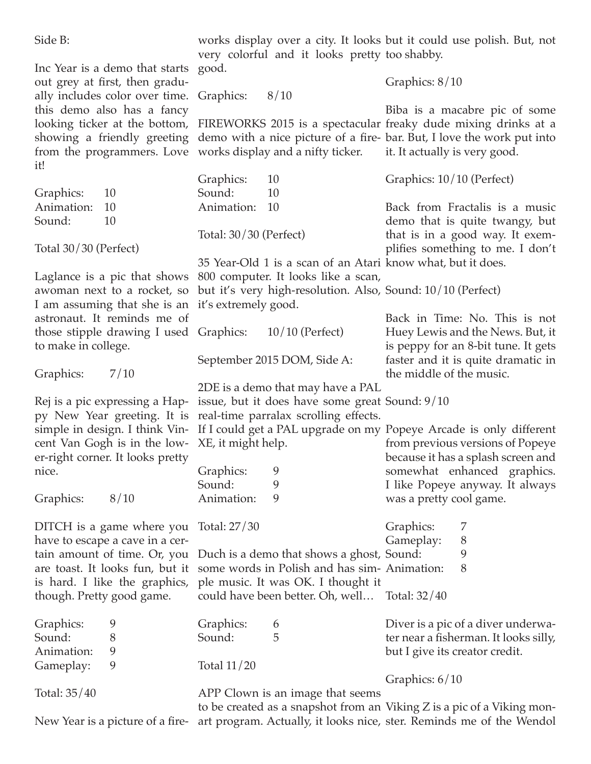| Side B:                                                                       | very colorful and it looks pretty too shabby. | works display over a city. It looks but it could use polish. But, not                             |
|-------------------------------------------------------------------------------|-----------------------------------------------|---------------------------------------------------------------------------------------------------|
| Inc Year is a demo that starts good.                                          |                                               |                                                                                                   |
| out grey at first, then gradu-                                                |                                               | Graphics: 8/10                                                                                    |
| ally includes color over time.                                                | Graphics:<br>8/10                             |                                                                                                   |
| this demo also has a fancy                                                    |                                               | Biba is a macabre pic of some                                                                     |
|                                                                               |                                               | looking ticker at the bottom, FIREWORKS 2015 is a spectacular freaky dude mixing drinks at a      |
|                                                                               |                                               | showing a friendly greeting demo with a nice picture of a fire-bar. But, I love the work put into |
| from the programmers. Love works display and a nifty ticker.                  |                                               | it. It actually is very good.                                                                     |
| it!                                                                           |                                               |                                                                                                   |
|                                                                               | Graphics:<br>10                               | Graphics: 10/10 (Perfect)                                                                         |
| Graphics:<br>10                                                               | Sound:<br>10                                  |                                                                                                   |
| Animation:<br>10                                                              | Animation:<br>10                              | Back from Fractalis is a music                                                                    |
| Sound:<br>10                                                                  |                                               | demo that is quite twangy, but                                                                    |
|                                                                               | Total: 30/30 (Perfect)                        | that is in a good way. It exem-                                                                   |
| Total $30/30$ (Perfect)                                                       |                                               | plifies something to me. I don't                                                                  |
|                                                                               |                                               | 35 Year-Old 1 is a scan of an Atari know what, but it does.                                       |
| Laglance is a pic that shows 800 computer. It looks like a scan,              |                                               |                                                                                                   |
| awoman next to a rocket, so                                                   |                                               | but it's very high-resolution. Also, Sound: 10/10 (Perfect)                                       |
| I am assuming that she is an                                                  | it's extremely good.                          |                                                                                                   |
| astronaut. It reminds me of                                                   |                                               | Back in Time: No. This is not                                                                     |
| those stipple drawing I used Graphics:                                        | $10/10$ (Perfect)                             | Huey Lewis and the News. But, it                                                                  |
| to make in college.                                                           |                                               | is peppy for an 8-bit tune. It gets                                                               |
|                                                                               | September 2015 DOM, Side A:                   | faster and it is quite dramatic in                                                                |
| Graphics:<br>7/10                                                             |                                               | the middle of the music.                                                                          |
|                                                                               | 2DE is a demo that may have a PAL             |                                                                                                   |
| Rej is a pic expressing a Hap- issue, but it does have some great Sound: 9/10 |                                               |                                                                                                   |
| py New Year greeting. It is real-time parralax scrolling effects.             |                                               |                                                                                                   |
|                                                                               |                                               | simple in design. I think Vin- If I could get a PAL upgrade on my Popeye Arcade is only different |
| cent Van Gogh is in the low- XE, it might help.                               |                                               | from previous versions of Popeye                                                                  |
| er-right corner. It looks pretty                                              |                                               | because it has a splash screen and                                                                |
| nice.                                                                         | Graphics:<br>9                                | somewhat enhanced graphics.                                                                       |
|                                                                               | Sound:<br>9                                   | I like Popeye anyway. It always                                                                   |
| Graphics:<br>8/10                                                             | Animation:<br>9                               | was a pretty cool game.                                                                           |
|                                                                               |                                               |                                                                                                   |
| DITCH is a game where you                                                     | Total: 27/30                                  | Graphics:<br>7                                                                                    |
| have to escape a cave in a cer-                                               |                                               | Gameplay:<br>8                                                                                    |
| tain amount of time. Or, you                                                  | Duch is a demo that shows a ghost, Sound:     | 9                                                                                                 |
| are toast. It looks fun, but it                                               | some words in Polish and has sim-Animation:   | 8                                                                                                 |
| is hard. I like the graphics,                                                 | ple music. It was OK. I thought it            |                                                                                                   |
| though. Pretty good game.                                                     | could have been better. Oh, well Total: 32/40 |                                                                                                   |
| Graphics:<br>9                                                                | Graphics:<br>6                                | Diver is a pic of a diver underwa-                                                                |
| Sound:<br>8                                                                   | Sound:<br>5                                   | ter near a fisherman. It looks silly,                                                             |
| Animation:<br>9                                                               |                                               | but I give its creator credit.                                                                    |
| 9<br>Gameplay:                                                                | Total $11/20$                                 |                                                                                                   |
|                                                                               |                                               | Graphics: 6/10                                                                                    |
| Total: 35/40                                                                  | APP Clown is an image that seems              |                                                                                                   |
|                                                                               |                                               | to be created as a snapshot from an Viking Z is a pic of a Viking mon-                            |
| New Year is a picture of a fire-                                              |                                               | art program. Actually, it looks nice, ster. Reminds me of the Wendol                              |
|                                                                               |                                               |                                                                                                   |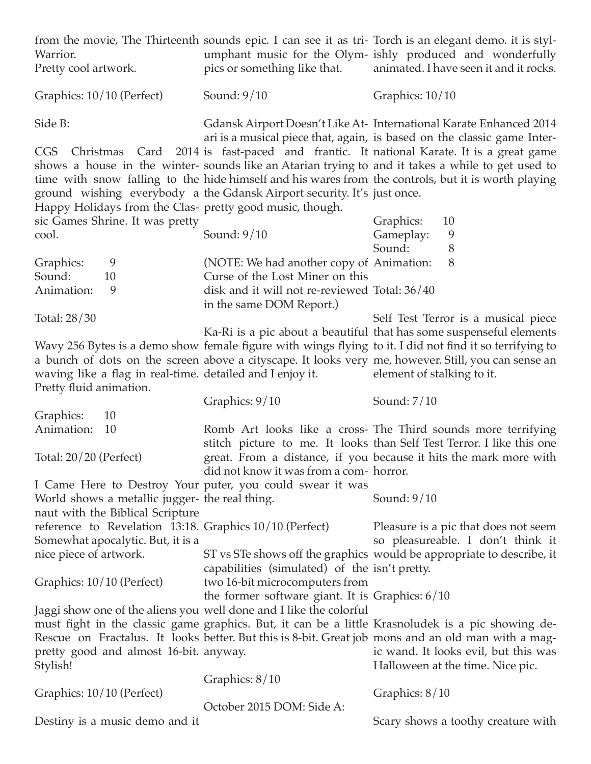| Warrior.<br>Pretty cool artwork.                                                     | pics or something like that.                                                        | from the movie, The Thirteenth sounds epic. I can see it as tri- Torch is an elegant demo. it is styl-<br>umphant music for the Olym- ishly produced and wonderfully<br>animated. I have seen it and it rocks.                                                                                       |
|--------------------------------------------------------------------------------------|-------------------------------------------------------------------------------------|------------------------------------------------------------------------------------------------------------------------------------------------------------------------------------------------------------------------------------------------------------------------------------------------------|
| Graphics: 10/10 (Perfect)                                                            | Sound: $9/10$                                                                       | Graphics: $10/10$                                                                                                                                                                                                                                                                                    |
| Side B:                                                                              |                                                                                     | Gdansk Airport Doesn't Like At-International Karate Enhanced 2014<br>ari is a musical piece that, again, is based on the classic game Inter-                                                                                                                                                         |
| Happy Holidays from the Clas- pretty good music, though.                             | ground wishing everybody a the Gdansk Airport security. It's just once.             | CGS Christmas Card 2014 is fast-paced and frantic. It national Karate. It is a great game<br>shows a house in the winter-sounds like an Atarian trying to and it takes a while to get used to<br>time with snow falling to the hide himself and his wares from the controls, but it is worth playing |
| sic Games Shrine. It was pretty<br>cool.                                             | Sound: $9/10$                                                                       | Graphics:<br>10<br>Gameplay:<br>9<br>Sound:<br>8                                                                                                                                                                                                                                                     |
| Graphics:<br>9<br>Sound:<br>10                                                       | (NOTE: We had another copy of Animation:<br>Curse of the Lost Miner on this         | 8                                                                                                                                                                                                                                                                                                    |
| Animation:<br>9                                                                      | disk and it will not re-reviewed Total: 36/40<br>in the same DOM Report.)           |                                                                                                                                                                                                                                                                                                      |
| Total: 28/30                                                                         |                                                                                     | Self Test Terror is a musical piece<br>Ka-Ri is a pic about a beautiful that has some suspenseful elements                                                                                                                                                                                           |
| waving like a flag in real-time. detailed and I enjoy it.<br>Pretty fluid animation. |                                                                                     | Wavy 256 Bytes is a demo show female figure with wings flying to it. I did not find it so terrifying to<br>a bunch of dots on the screen above a cityscape. It looks very me, however. Still, you can sense an<br>element of stalking to it.                                                         |
|                                                                                      | Graphics: 9/10                                                                      | Sound: 7/10                                                                                                                                                                                                                                                                                          |
| Graphics:<br>10                                                                      |                                                                                     |                                                                                                                                                                                                                                                                                                      |
| Animation:<br>10                                                                     |                                                                                     | Romb Art looks like a cross- The Third sounds more terrifying                                                                                                                                                                                                                                        |
| Total: 20/20 (Perfect)                                                               | did not know it was from a com-horror.                                              | stitch picture to me. It looks than Self Test Terror. I like this one<br>great. From a distance, if you because it hits the mark more with                                                                                                                                                           |
| World shows a metallic jugger- the real thing.<br>naut with the Biblical Scripture   | I Came Here to Destroy Your puter, you could swear it was                           | Sound: $9/10$                                                                                                                                                                                                                                                                                        |
| reference to Revelation 13:18. Graphics 10/10 (Perfect)                              |                                                                                     | Pleasure is a pic that does not seem                                                                                                                                                                                                                                                                 |
| Somewhat apocalytic. But, it is a                                                    |                                                                                     | so pleasureable. I don't think it                                                                                                                                                                                                                                                                    |
| nice piece of artwork.                                                               | capabilities (simulated) of the isn't pretty.                                       | ST vs STe shows off the graphics would be appropriate to describe, it                                                                                                                                                                                                                                |
| Graphics: 10/10 (Perfect)                                                            | two 16-bit microcomputers from<br>the former software giant. It is Graphics: $6/10$ |                                                                                                                                                                                                                                                                                                      |
|                                                                                      | Jaggi show one of the aliens you well done and I like the colorful                  |                                                                                                                                                                                                                                                                                                      |
|                                                                                      |                                                                                     | must fight in the classic game graphics. But, it can be a little Krasnoludek is a pic showing de-                                                                                                                                                                                                    |
| pretty good and almost 16-bit. anyway.<br>Stylish!                                   |                                                                                     | Rescue on Fractalus. It looks better. But this is 8-bit. Great job mons and an old man with a mag-<br>ic wand. It looks evil, but this was<br>Halloween at the time. Nice pic.                                                                                                                       |
|                                                                                      | Graphics: $8/10$                                                                    |                                                                                                                                                                                                                                                                                                      |
| Graphics: 10/10 (Perfect)                                                            | October 2015 DOM: Side A:                                                           | Graphics: 8/10                                                                                                                                                                                                                                                                                       |
| Destiny is a music demo and it                                                       |                                                                                     | Scary shows a toothy creature with                                                                                                                                                                                                                                                                   |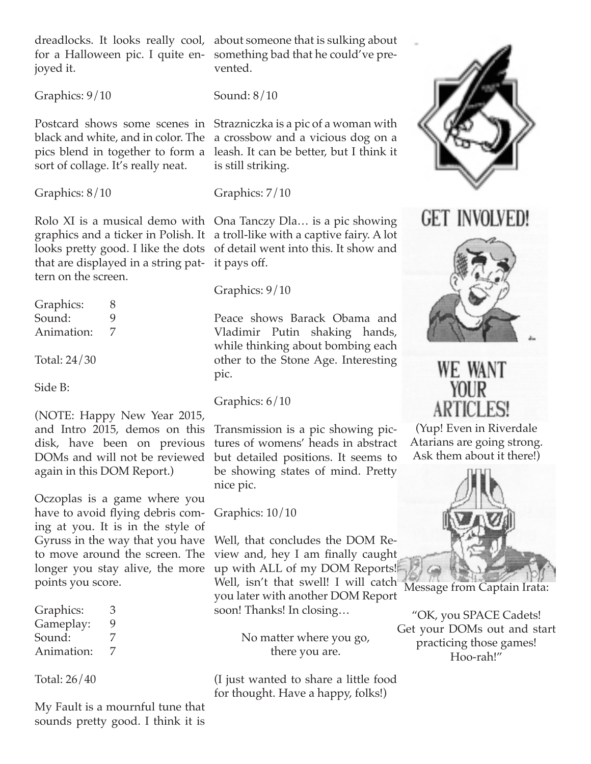joyed it.

Graphics: 9/10

sort of collage. It's really neat.

Graphics: 8/10

that are displayed in a string pat-it pays off. tern on the screen.

Graphics: 8 Sound: 9 Animation: 7

Total: 24/30

Side B:

(NOTE: Happy New Year 2015, and Intro 2015, demos on this disk, have been on previous DOMs and will not be reviewed again in this DOM Report.)

Oczoplas is a game where you have to avoid flying debris coming at you. It is in the style of Gyruss in the way that you have to move around the screen. The longer you stay alive, the more points you score.

| Graphics:  | З |
|------------|---|
| Gameplay:  | 9 |
| Sound:     | 7 |
| Animation: | 7 |

Total: 26/40

My Fault is a mournful tune that sounds pretty good. I think it is

dreadlocks. It looks really cool, about someone that is sulking about for a Halloween pic. I quite en-something bad that he could've prevented.

Sound: 8/10

Postcard shows some scenes in Strazniczka is a pic of a woman with black and white, and in color. The a crossbow and a vicious dog on a pics blend in together to form a leash. It can be better, but I think it is still striking.

Graphics: 7/10

Rolo XI is a musical demo with Ona Tanczy Dla… is a pic showing graphics and a ticker in Polish. It a troll-like with a captive fairy. A lot looks pretty good. I like the dots of detail went into this. It show and

Graphics: 9/10

Peace shows Barack Obama and Vladimir Putin shaking hands, while thinking about bombing each other to the Stone Age. Interesting pic.

Graphics: 6/10

Transmission is a pic showing pictures of womens' heads in abstract but detailed positions. It seems to be showing states of mind. Pretty nice pic.

Graphics: 10/10

Well, that concludes the DOM Review and, hey I am finally caught up with ALL of my DOM Reports!

Well, isn't that swell! I will catch Message from Captain Irata: you later with another DOM Report soon! Thanks! In closing…

No matter where you go, there you are.

(I just wanted to share a little food for thought. Have a happy, folks!)



## **GET INVOLVED!**



## WE WANT **YOUR ARTICLES!**

(Yup! Even in Riverdale Atarians are going strong. Ask them about it there!)



"OK, you SPACE Cadets! Get your DOMs out and start practicing those games! Hoo-rah!"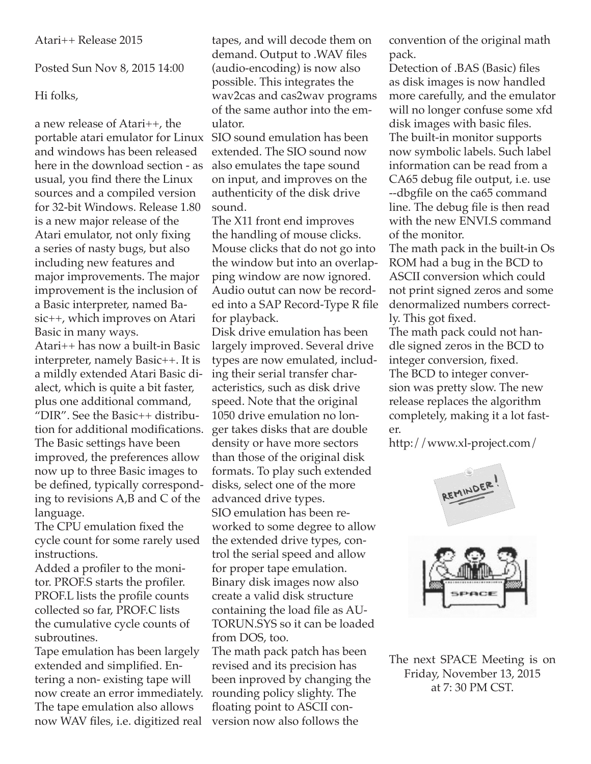Posted Sun Nov 8, 2015 14:00

## Hi folks,

a new release of Atari++, the portable atari emulator for Linux and windows has been released here in the download section - as usual, you find there the Linux sources and a compiled version for 32-bit Windows. Release 1.80 is a new major release of the Atari emulator, not only fixing a series of nasty bugs, but also including new features and major improvements. The major improvement is the inclusion of a Basic interpreter, named Basic++, which improves on Atari Basic in many ways. Atari++ has now a built-in Basic interpreter, namely Basic++. It is a mildly extended Atari Basic di-

alect, which is quite a bit faster, plus one additional command, "DIR". See the Basic++ distribution for additional modifications. The Basic settings have been improved, the preferences allow now up to three Basic images to be defined, typically corresponding to revisions A,B and C of the language.

The CPU emulation fixed the cycle count for some rarely used instructions.

Added a profiler to the monitor. PROF.S starts the profiler. PROF.L lists the profile counts collected so far, PROF.C lists the cumulative cycle counts of subroutines.

Tape emulation has been largely extended and simplified. Entering a non- existing tape will now create an error immediately. The tape emulation also allows now WAV files, i.e. digitized real

tapes, and will decode them on demand. Output to .WAV files (audio-encoding) is now also possible. This integrates the wav2cas and cas2wav programs of the same author into the emulator.

SIO sound emulation has been extended. The SIO sound now also emulates the tape sound on input, and improves on the authenticity of the disk drive sound.

The X11 front end improves the handling of mouse clicks. Mouse clicks that do not go into the window but into an overlapping window are now ignored. Audio outut can now be recorded into a SAP Record-Type R file for playback.

Disk drive emulation has been largely improved. Several drive types are now emulated, including their serial transfer characteristics, such as disk drive speed. Note that the original 1050 drive emulation no longer takes disks that are double density or have more sectors than those of the original disk formats. To play such extended disks, select one of the more advanced drive types. SIO emulation has been reworked to some degree to allow the extended drive types, control the serial speed and allow for proper tape emulation. Binary disk images now also create a valid disk structure containing the load file as AU-TORUN.SYS so it can be loaded from DOS, too.

The math pack patch has been revised and its precision has been inproved by changing the rounding policy slighty. The floating point to ASCII conversion now also follows the

convention of the original math pack.

Detection of .BAS (Basic) files as disk images is now handled more carefully, and the emulator will no longer confuse some xfd disk images with basic files. The built-in monitor supports now symbolic labels. Such label information can be read from a CA65 debug file output, i.e. use --dbgfile on the ca65 command line. The debug file is then read with the new ENVI.S command of the monitor.

The math pack in the built-in Os ROM had a bug in the BCD to ASCII conversion which could not print signed zeros and some denormalized numbers correctly. This got fixed.

The math pack could not handle signed zeros in the BCD to integer conversion, fixed. The BCD to integer conversion was pretty slow. The new release replaces the algorithm completely, making it a lot faster.

http://www.xl-project.com/



The next SPACE Meeting is on Friday, November 13, 2015 at 7: 30 PM CST.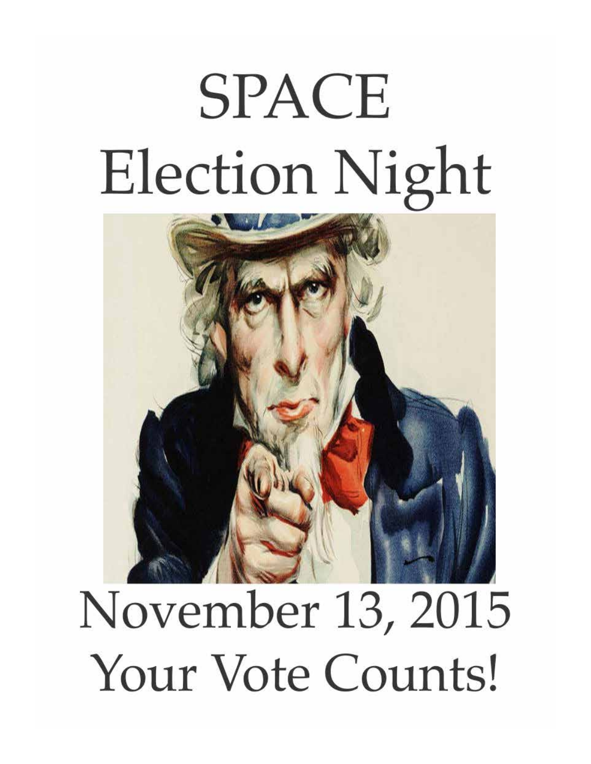# **SPACE Election Night**



## November 13, 2015 Your Vote Counts!